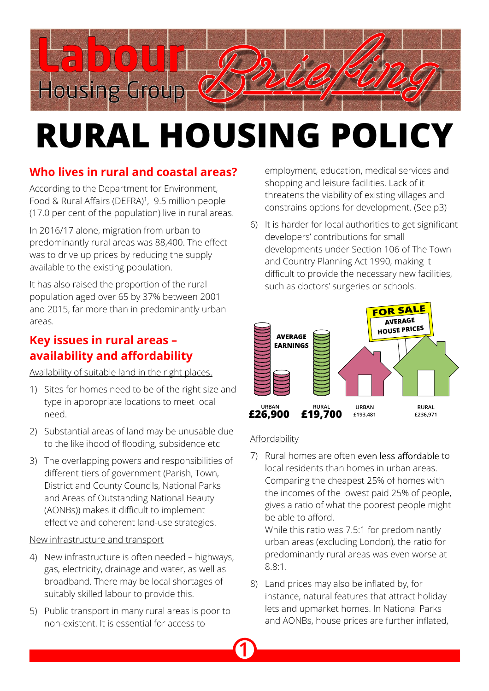

# **RURAL HOUSING POLICY**

# **Who lives in rural and coastal areas?**

According to the Department for Environment, Food & Rural Affairs (DEFRA)<sup>1</sup>, 9.5 million people (17.0 per cent of the population) live in rural areas.

In 2016/17 alone, migration from urban to predominantly rural areas was 88,400. The effect was to drive up prices by reducing the supply available to the existing population.

It has also raised the proportion of the rural population aged over 65 by 37% between 2001 and 2015, far more than in predominantly urban areas.

### **Key issues in rural areas – availability and affordability**

Availability of suitable land in the right places.

- 1) Sites for homes need to be of the right size and type in appropriate locations to meet local need.
- 2) Substantial areas of land may be unusable due to the likelihood of flooding, subsidence etc
- 3) The overlapping powers and responsibilities of different tiers of government (Parish, Town, District and County Councils, National Parks and Areas of Outstanding National Beauty (AONBs)) makes it difficult to implement effective and coherent land-use strategies.

#### New infrastructure and transport

- 4) New infrastructure is often needed highways, gas, electricity, drainage and water, as well as broadband. There may be local shortages of suitably skilled labour to provide this.
- 5) Public transport in many rural areas is poor to non-existent. It is essential for access to

employment, education, medical services and shopping and leisure facilities. Lack of it threatens the viability of existing villages and constrains options for development. (See p3)

6) It is harder for local authorities to get significant developers' contributions for small developments under Section 106 of The Town and Country Planning Act 1990, making it difficult to provide the necessary new facilities, such as doctors' surgeries or schools.



#### Affordability

**1**

7) Rural homes are often even less affordable to local residents than homes in urban areas. Comparing the cheapest 25% of homes with the incomes of the lowest paid 25% of people, gives a ratio of what the poorest people might be able to afford.

While this ratio was 7.5:1 for predominantly urban areas (excluding London), the ratio for predominantly rural areas was even worse at 8.8:1.

8) Land prices may also be inflated by, for instance, natural features that attract holiday lets and upmarket homes. In National Parks and AONBs, house prices are further inflated,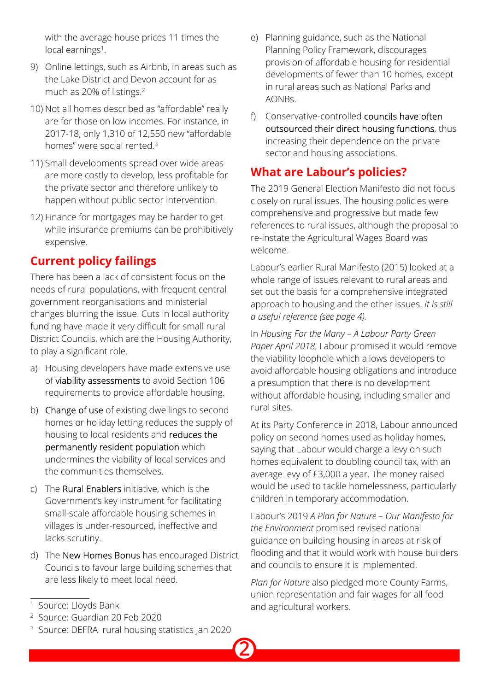with the average house prices 11 times the local earnings<sup>1</sup>.

- 9) Online lettings, such as Airbnb, in areas such as the Lake District and Devon account for as much as 20% of listings.<sup>2</sup>
- 10) Not all homes described as "affordable" really are for those on low incomes. For instance, in 2017-18, only 1,310 of 12,550 new "affordable homes" were social rented.<sup>3</sup>
- 11) Small developments spread over wide areas are more costly to develop, less profitable for the private sector and therefore unlikely to happen without public sector intervention.
- 12) Finance for mortgages may be harder to get while insurance premiums can be prohibitively expensive.

# **Current policy failings**

There has been a lack of consistent focus on the needs of rural populations, with frequent central government reorganisations and ministerial changes blurring the issue. Cuts in local authority funding have made it very difficult for small rural District Councils, which are the Housing Authority, to play a significant role.

- a) Housing developers have made extensive use of viability assessments to avoid Section 106 requirements to provide affordable housing.
- b) Change of use of existing dwellings to second homes or holiday letting reduces the supply of housing to local residents and reduces the permanently resident population which undermines the viability of local services and the communities themselves.
- c) The Rural Enablers initiative, which is the Government's key instrument for facilitating small-scale affordable housing schemes in villages is under-resourced, ineffective and lacks scrutiny.
- d) The New Homes Bonus has encouraged District Councils to favour large building schemes that are less likely to meet local need.
- e) Planning guidance, such as the National Planning Policy Framework, discourages provision of affordable housing for residential developments of fewer than 10 homes, except in rural areas such as National Parks and AONBs.
- f) Conservative-controlled councils have often outsourced their direct housing functions, thus increasing their dependence on the private sector and housing associations.

# **What are Labour's policies?**

The 2019 General Election Manifesto did not focus closely on rural issues. The housing policies were comprehensive and progressive but made few references to rural issues, although the proposal to re-instate the Agricultural Wages Board was welcome.

Labour's earlier Rural Manifesto (2015) looked at a whole range of issues relevant to rural areas and set out the basis for a comprehensive integrated approach to housing and the other issues. *It is still a useful reference (see page 4).*

In *Housing For the Many – A Labour Party Green Paper April 2018*, Labour promised it would remove the viability loophole which allows developers to avoid affordable housing obligations and introduce a presumption that there is no development without affordable housing, including smaller and rural sites.

At its Party Conference in 2018, Labour announced policy on second homes used as holiday homes, saying that Labour would charge a levy on such homes equivalent to doubling council tax, with an average levy of £3,000 a year. The money raised would be used to tackle homelessness, particularly children in temporary accommodation.

Labour's 2019 *A Plan for Nature – Our Manifesto for the Environment* promised revised national guidance on building housing in areas at risk of flooding and that it would work with house builders and councils to ensure it is implemented.

*Plan for Nature* also pledged more County Farms, union representation and fair wages for all food and agricultural workers.

**2**

<sup>&</sup>lt;sup>1</sup> Source: Lloyds Bank

<sup>2</sup> Source: Guardian 20 Feb 2020

<sup>3</sup> Source: DEFRA rural housing statistics Jan 2020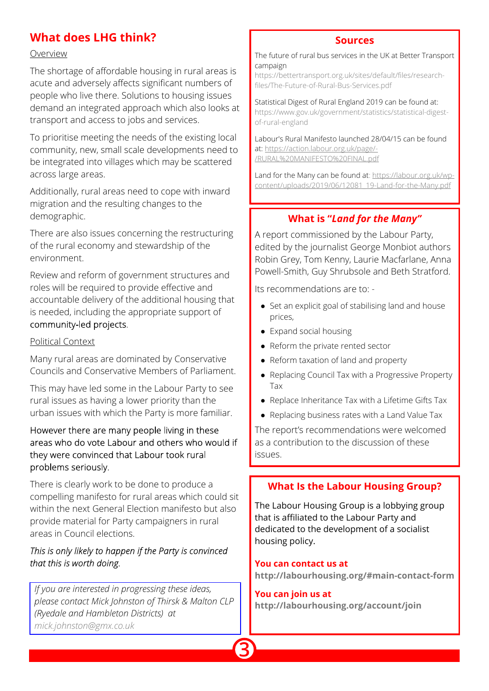# **What does LHG think?**

#### Overview

The shortage of affordable housing in rural areas is acute and adversely affects significant numbers of people who live there. Solutions to housing issues demand an integrated approach which also looks at transport and access to jobs and services.

To prioritise meeting the needs of the existing local community, new, small scale developments need to be integrated into villages which may be scattered across large areas.

Additionally, rural areas need to cope with inward migration and the resulting changes to the demographic.

There are also issues concerning the restructuring of the rural economy and stewardship of the environment.

Review and reform of government structures and roles will be required to provide effective and accountable delivery of the additional housing that is needed, including the appropriate support of community-led projects.

#### Political Context

Many rural areas are dominated by Conservative Councils and Conservative Members of Parliament.

This may have led some in the Labour Party to see rural issues as having a lower priority than the urban issues with which the Party is more familiar.

However there are many people living in these areas who do vote Labour and others who would if they were convinced that Labour took rural problems seriously.

There is clearly work to be done to produce a compelling manifesto for rural areas which could sit within the next General Election manifesto but also provide material for Party campaigners in rural areas in Council elections.

#### This is only likely to happen if the Party is convinced that this is worth doing.

*If you are interested in progressing these ideas, please contact Mick Johnston of Thirsk & Malton CLP (Ryedale and Hambleton Districts) at [mick.johnston@gmx.co.uk](mailto:mick.johnston@gmx.co.uk)*

#### **Sources**

The future of rural bus services in the UK at Better Transport campaign

[https://bettertransport.org.uk/sites/default/files/research](https://bettertransport.org.uk/sites/default/files/research-files/The-Future-of-Rural-Bus-Services.pdf)[files/The-Future-of-Rural-Bus-Services.pdf](https://bettertransport.org.uk/sites/default/files/research-files/The-Future-of-Rural-Bus-Services.pdf)

Statistical Digest of Rural England 2019 can be found at: [https://www.gov.uk/government/statistics/statistical-digest](https://www.gov.uk/government/statistics/statistical-digest-of-rural-england)[of-rural-england](https://www.gov.uk/government/statistics/statistical-digest-of-rural-england)

Labour's Rural Manifesto launched 28/04/15 can be found at: [https://action.labour.org.uk/page/-](https://action.labour.org.uk/page/-/RURAL%20MANIFESTO%20FINAL.pdf) [/RURAL%20MANIFESTO%20FINAL.pdf](https://action.labour.org.uk/page/-/RURAL%20MANIFESTO%20FINAL.pdf)

Land for the Many can be found a[t:](https://action.labour.org.uk/page/-/RURAL%20MANIFESTO%20FINAL.pdf) [https://labour.org.uk/wp](https://labour.org.uk/wp-content/uploads/2019/06/12081_19-Land-for-the-Many.pdf)[content/uploads/2019/06/12081\\_19-Land-for-the-Many.pdf](https://labour.org.uk/wp-content/uploads/2019/06/12081_19-Land-for-the-Many.pdf)

#### **What is "***Land for the Many"*

A report commissioned by the Labour Party, edited by the journalist George Monbiot authors Robin Grey, Tom Kenny, Laurie Macfarlane, Anna Powell-Smith, Guy Shrubsole and Beth Stratford.

Its recommendations are to: -

- Set an explicit goal of stabilising land and house prices,
- Expand social housing
- Reform the private rented sector
- Reform taxation of land and property
- Replacing Council Tax with a Progressive Property Tax
- Replace Inheritance Tax with a Lifetime Gifts Tax
- Replacing business rates with a Land Value Tax

The report's recommendations were welcomed as a contribution to the discussion of these issues.

#### **What Is the Labour Housing Group?**

The Labour Housing Group is a lobbying group that is affiliated to the Labour Party and dedicated to the development of a socialist housing policy.

#### **You can contact us at**

**[http://labourhousing.org/#main-contact-form]( http://labourhousing.org/)**

#### **You can join us at <http://labourhousing.org/account/join>**

**3**